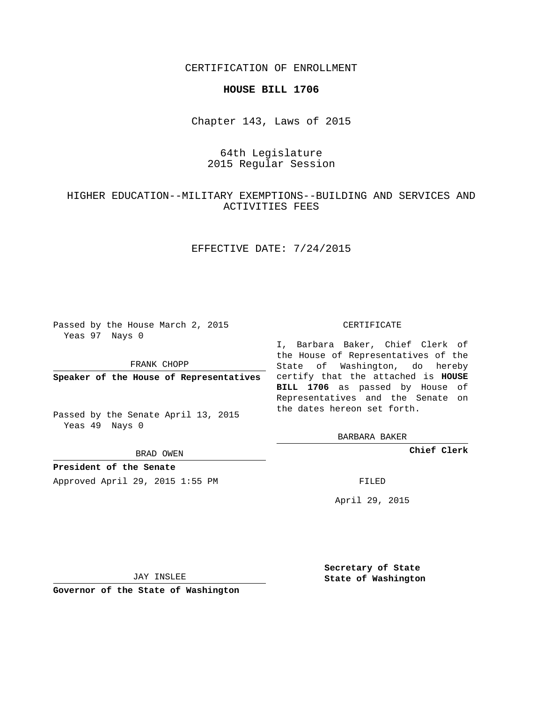CERTIFICATION OF ENROLLMENT

### **HOUSE BILL 1706**

Chapter 143, Laws of 2015

# 64th Legislature 2015 Regular Session

## HIGHER EDUCATION--MILITARY EXEMPTIONS--BUILDING AND SERVICES AND ACTIVITIES FEES

## EFFECTIVE DATE: 7/24/2015

Passed by the House March 2, 2015 Yeas 97 Nays 0

FRANK CHOPP

Passed by the Senate April 13, 2015 Yeas 49 Nays 0

BRAD OWEN

**President of the Senate**

Approved April 29, 2015 1:55 PM FILED

#### CERTIFICATE

**Speaker of the House of Representatives** certify that the attached is **HOUSE** I, Barbara Baker, Chief Clerk of the House of Representatives of the State of Washington, do hereby **BILL 1706** as passed by House of Representatives and the Senate on the dates hereon set forth.

BARBARA BAKER

**Chief Clerk**

April 29, 2015

JAY INSLEE

**Governor of the State of Washington**

**Secretary of State State of Washington**